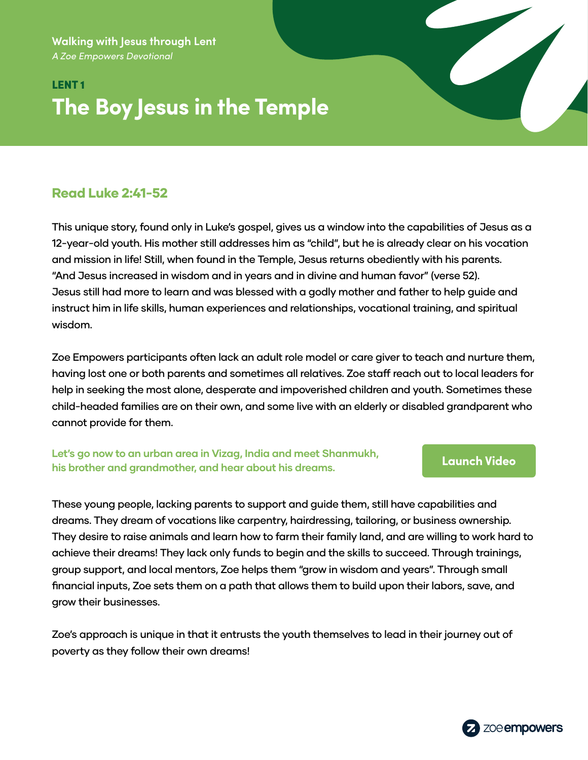**Walking with Jesus through Lent** *A Zoe Empowers Devotional*

# LENT 1 **The Boy Jesus in the Temple**

## Read Luke 2:41-52

This unique story, found only in Luke's gospel, gives us a window into the capabilities of Jesus as a 12-year-old youth. His mother still addresses him as "child", but he is already clear on his vocation and mission in life! Still, when found in the Temple, Jesus returns obediently with his parents. "And Jesus increased in wisdom and in years and in divine and human favor" (verse 52). Jesus still had more to learn and was blessed with a godly mother and father to help guide and instruct him in life skills, human experiences and relationships, vocational training, and spiritual wisdom.

Zoe Empowers participants often lack an adult role model or care giver to teach and nurture them, having lost one or both parents and sometimes all relatives. Zoe staff reach out to local leaders for help in seeking the most alone, desperate and impoverished children and youth. Sometimes these child-headed families are on their own, and some live with an elderly or disabled grandparent who cannot provide for them.

### **Let's go now to an urban area in Vizag, India and meet Shanmukh, his brother and grandmother, and hear about his dreams. [Launch Video](https://zmpw.rs/Shanmukh)**

These young people, lacking parents to support and guide them, still have capabilities and dreams. They dream of vocations like carpentry, hairdressing, tailoring, or business ownership. They desire to raise animals and learn how to farm their family land, and are willing to work hard to achieve their dreams! They lack only funds to begin and the skills to succeed. Through trainings, group support, and local mentors, Zoe helps them "grow in wisdom and years". Through small financial inputs, Zoe sets them on a path that allows them to build upon their labors, save, and grow their businesses.

Zoe's approach is unique in that it entrusts the youth themselves to lead in their journey out of poverty as they follow their own dreams!